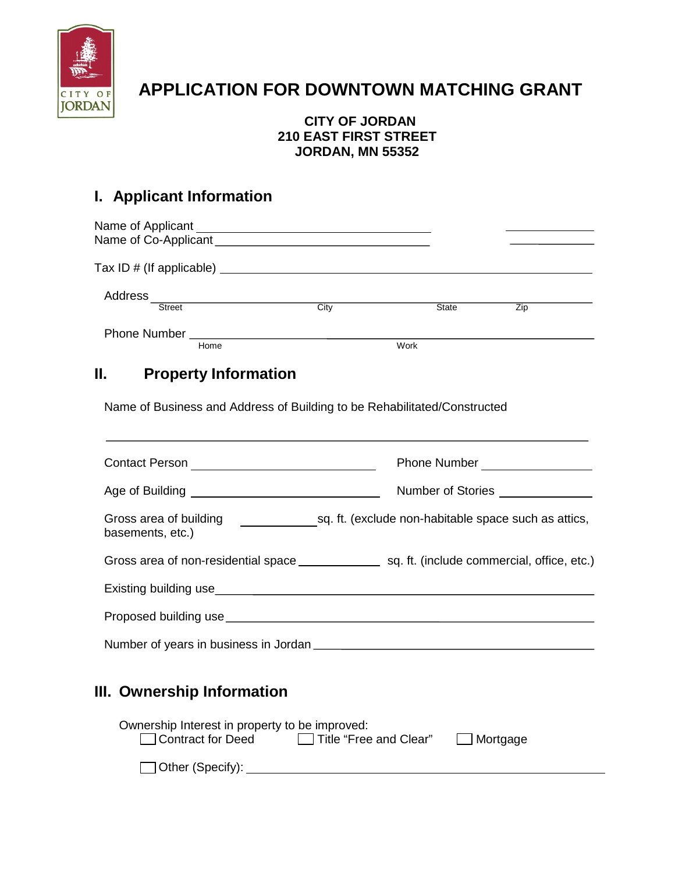

# **APPLICATION FOR DOWNTOWN MATCHING GRANT**

### **CITY OF JORDAN 210 EAST FIRST STREET JORDAN, MN 55352**

## **I. Applicant Information**

| Name of Applicant<br>Name of Co-Applicant |      |              |     |
|-------------------------------------------|------|--------------|-----|
| Tax ID $\#$ (If applicable) $\_\_$        |      |              |     |
| Address<br><b>Street</b>                  | City | <b>State</b> | Zip |
| Phone Number _______                      |      |              |     |
| Home                                      |      | Work         |     |

## **II. Property Information**

Name of Business and Address of Building to be Rehabilitated/Constructed

|                                                                                      | Phone Number<br><u> </u>                             |
|--------------------------------------------------------------------------------------|------------------------------------------------------|
|                                                                                      | Number of Stories ______________                     |
| Gross area of building <b>Contains a Container and Container</b><br>basements, etc.) | sq. ft. (exclude non-habitable space such as attics, |
|                                                                                      |                                                      |
|                                                                                      |                                                      |
|                                                                                      |                                                      |
| Number of years in business in Jordan                                                |                                                      |

### **III. Ownership Information**

| Ownership Interest in property to be improved: |                        |                 |
|------------------------------------------------|------------------------|-----------------|
| □ Contract for Deed                            | Title "Free and Clear" | $\Box$ Mortgage |
|                                                |                        |                 |
| $\Box$ Other (Specify):                        |                        |                 |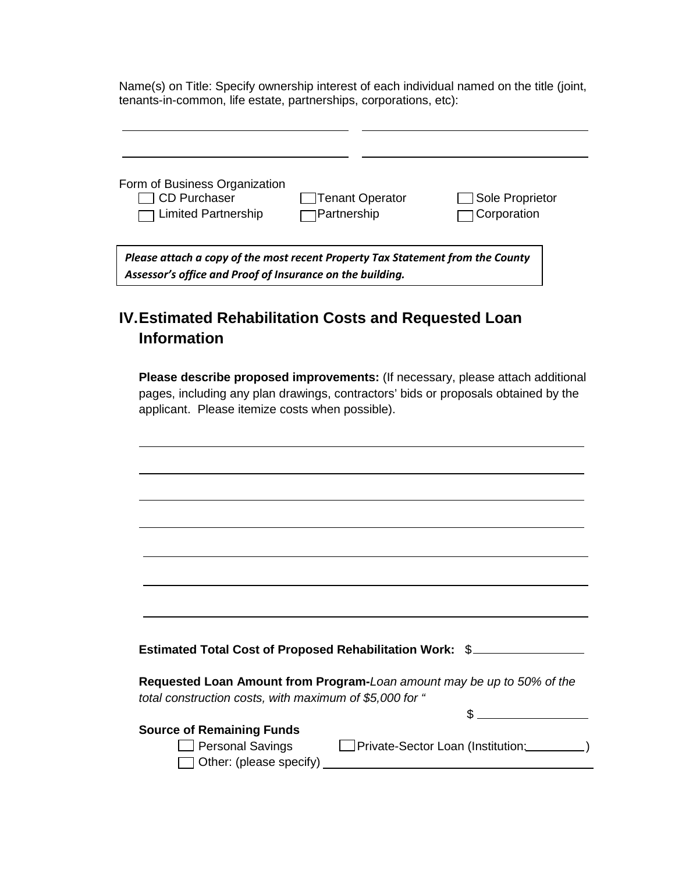Name(s) on Title: Specify ownership interest of each individual named on the title (joint, tenants-in-common, life estate, partnerships, corporations, etc):

 $\sim$ 

| Form of Business Organization                                                                                                               |                                              |                                |
|---------------------------------------------------------------------------------------------------------------------------------------------|----------------------------------------------|--------------------------------|
| CD Purchaser<br>$\Box$ Limited Partnership                                                                                                  | <b>Tenant Operator</b><br><b>Partnership</b> | Sole Proprietor<br>Corporation |
| Please attach a copy of the most recent Property Tax Statement from the County<br>Assessor's office and Proof of Insurance on the building. |                                              |                                |

## **IV.Estimated Rehabilitation Costs and Requested Loan Information**

**Please describe proposed improvements:** (If necessary, please attach additional pages, including any plan drawings, contractors' bids or proposals obtained by the applicant. Please itemize costs when possible).

| Estimated Total Cost of Proposed Rehabilitation Work: \$                                                                          |
|-----------------------------------------------------------------------------------------------------------------------------------|
|                                                                                                                                   |
| Requested Loan Amount from Program-Loan amount may be up to 50% of the<br>total construction costs, with maximum of \$5,000 for " |
|                                                                                                                                   |
| <b>Source of Remaining Funds</b><br>Personal Savings <b>Delaction</b> Private-Sector Loan (Institution:                           |
| Other: (please specify)                                                                                                           |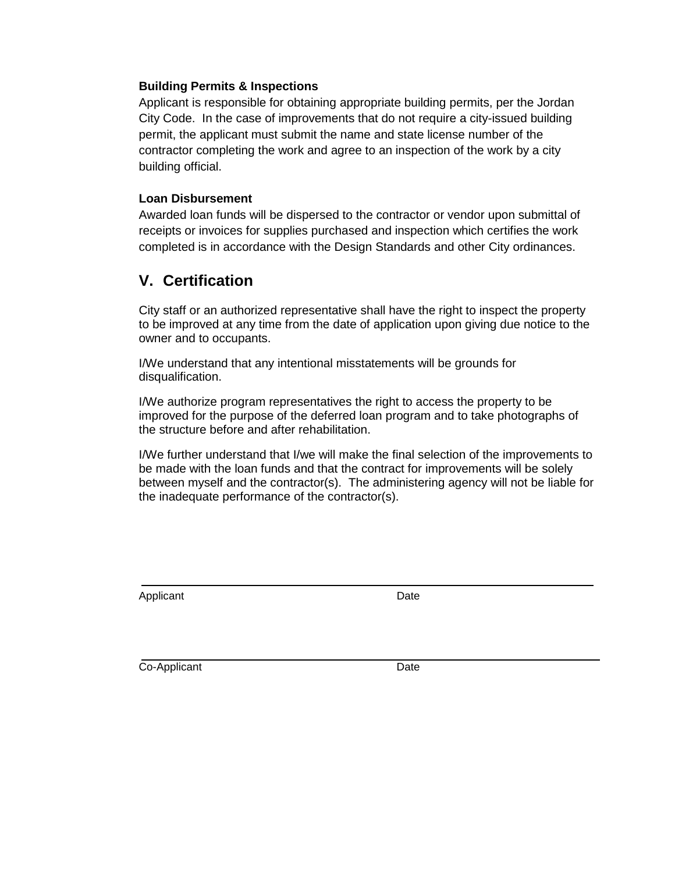#### **Building Permits & Inspections**

Applicant is responsible for obtaining appropriate building permits, per the Jordan City Code. In the case of improvements that do not require a city-issued building permit, the applicant must submit the name and state license number of the contractor completing the work and agree to an inspection of the work by a city building official.

#### **Loan Disbursement**

Awarded loan funds will be dispersed to the contractor or vendor upon submittal of receipts or invoices for supplies purchased and inspection which certifies the work completed is in accordance with the Design Standards and other City ordinances.

### **V. Certification**

City staff or an authorized representative shall have the right to inspect the property to be improved at any time from the date of application upon giving due notice to the owner and to occupants.

I/We understand that any intentional misstatements will be grounds for disqualification.

I/We authorize program representatives the right to access the property to be improved for the purpose of the deferred loan program and to take photographs of the structure before and after rehabilitation.

I/We further understand that I/we will make the final selection of the improvements to be made with the loan funds and that the contract for improvements will be solely between myself and the contractor(s). The administering agency will not be liable for the inadequate performance of the contractor(s).

Applicant Date **Date** 

Co-Applicant Date